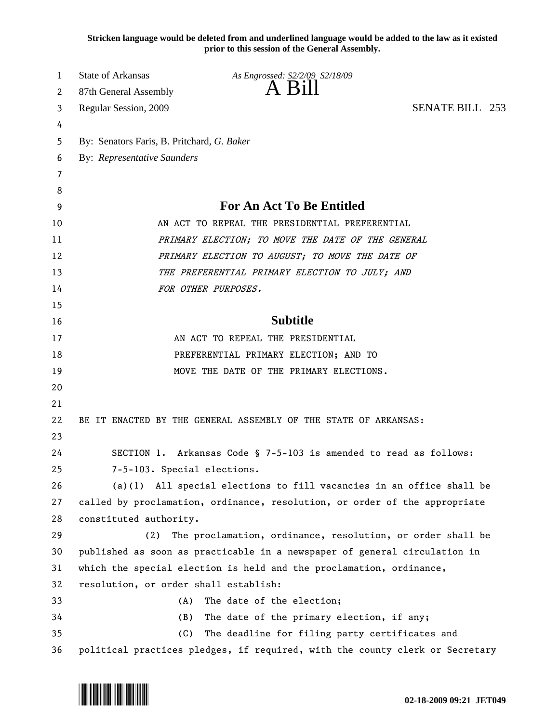**Stricken language would be deleted from and underlined language would be added to the law as it existed prior to this session of the General Assembly.**

| 1  | <b>State of Arkansas</b>                       | As Engrossed: S2/2/09 S2/18/09                                               |                        |  |
|----|------------------------------------------------|------------------------------------------------------------------------------|------------------------|--|
| 2  | 87th General Assembly                          | A Bill                                                                       |                        |  |
| 3  | Regular Session, 2009                          |                                                                              | <b>SENATE BILL 253</b> |  |
| 4  |                                                |                                                                              |                        |  |
| 5  | By: Senators Faris, B. Pritchard, G. Baker     |                                                                              |                        |  |
| 6  | <b>By: Representative Saunders</b>             |                                                                              |                        |  |
| 7  |                                                |                                                                              |                        |  |
| 8  |                                                |                                                                              |                        |  |
| 9  | For An Act To Be Entitled                      |                                                                              |                        |  |
| 10 | AN ACT TO REPEAL THE PRESIDENTIAL PREFERENTIAL |                                                                              |                        |  |
| 11 |                                                | PRIMARY ELECTION; TO MOVE THE DATE OF THE GENERAL                            |                        |  |
| 12 |                                                | PRIMARY ELECTION TO AUGUST; TO MOVE THE DATE OF                              |                        |  |
| 13 |                                                | THE PREFERENTIAL PRIMARY ELECTION TO JULY; AND                               |                        |  |
| 14 |                                                | FOR OTHER PURPOSES.                                                          |                        |  |
| 15 |                                                |                                                                              |                        |  |
| 16 | <b>Subtitle</b>                                |                                                                              |                        |  |
| 17 |                                                | AN ACT TO REPEAL THE PRESIDENTIAL                                            |                        |  |
| 18 | PREFERENTIAL PRIMARY ELECTION; AND TO          |                                                                              |                        |  |
| 19 | MOVE THE DATE OF THE PRIMARY ELECTIONS.        |                                                                              |                        |  |
| 20 |                                                |                                                                              |                        |  |
| 21 |                                                |                                                                              |                        |  |
| 22 |                                                | BE IT ENACTED BY THE GENERAL ASSEMBLY OF THE STATE OF ARKANSAS:              |                        |  |
| 23 |                                                |                                                                              |                        |  |
| 24 |                                                | SECTION 1. Arkansas Code § 7-5-103 is amended to read as follows:            |                        |  |
| 25 | 7-5-103. Special elections.                    |                                                                              |                        |  |
| 26 |                                                | $(a)(1)$ All special elections to fill vacancies in an office shall be       |                        |  |
| 27 |                                                | called by proclamation, ordinance, resolution, or order of the appropriate   |                        |  |
| 28 | constituted authority.                         |                                                                              |                        |  |
| 29 | (2)                                            | The proclamation, ordinance, resolution, or order shall be                   |                        |  |
| 30 |                                                | published as soon as practicable in a newspaper of general circulation in    |                        |  |
| 31 |                                                | which the special election is held and the proclamation, ordinance,          |                        |  |
| 32 | resolution, or order shall establish:          |                                                                              |                        |  |
| 33 | (A)                                            | The date of the election;                                                    |                        |  |
| 34 | (B)                                            | The date of the primary election, if any;                                    |                        |  |
| 35 | (C)                                            | The deadline for filing party certificates and                               |                        |  |
| 36 |                                                | political practices pledges, if required, with the county clerk or Secretary |                        |  |

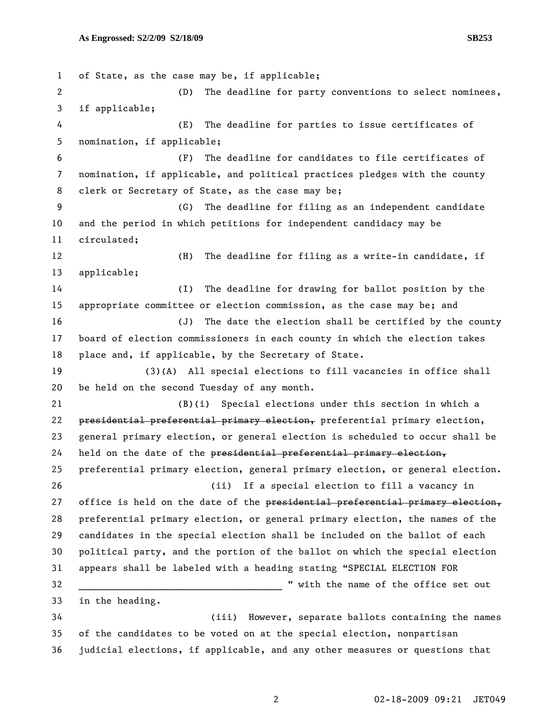```
1 of State, as the case may be, if applicable; 
 2 (D) The deadline for party conventions to select nominees, 
 3 if applicable; 
 4 (E) The deadline for parties to issue certificates of 
 5 nomination, if applicable; 
 6 (F) The deadline for candidates to file certificates of 
 7 nomination, if applicable, and political practices pledges with the county 
8 clerk or Secretary of State, as the case may be; 
9 (G) The deadline for filing as an independent candidate 
10 and the period in which petitions for independent candidacy may be 
11 circulated; 
12 (H) The deadline for filing as a write-in candidate, if 
13 applicable; 
14 (I) The deadline for drawing for ballot position by the 
15 appropriate committee or election commission, as the case may be; and 
16 (J) The date the election shall be certified by the county 
17 board of election commissioners in each county in which the election takes 
18 place and, if applicable, by the Secretary of State. 
19 (3)(A) All special elections to fill vacancies in office shall 
20 be held on the second Tuesday of any month. 
21 (B)(i) Special elections under this section in which a 
22 presidential preferential primary election, preferential primary election, 
23 general primary election, or general election is scheduled to occur shall be 
24 held on the date of the presidential preferential primary election,
25 preferential primary election, general primary election, or general election. 
26 (ii) If a special election to fill a vacancy in 
27 office is held on the date of the presidential preferential primary election,
28 preferential primary election, or general primary election, the names of the 
29 candidates in the special election shall be included on the ballot of each 
30 political party, and the portion of the ballot on which the special election 
31 appears shall be labeled with a heading stating "SPECIAL ELECTION FOR 
32 _____________________________________ " with the name of the office set out 
33 in the heading. 
34 (iii) However, separate ballots containing the names 
35 of the candidates to be voted on at the special election, nonpartisan 
36 judicial elections, if applicable, and any other measures or questions that
```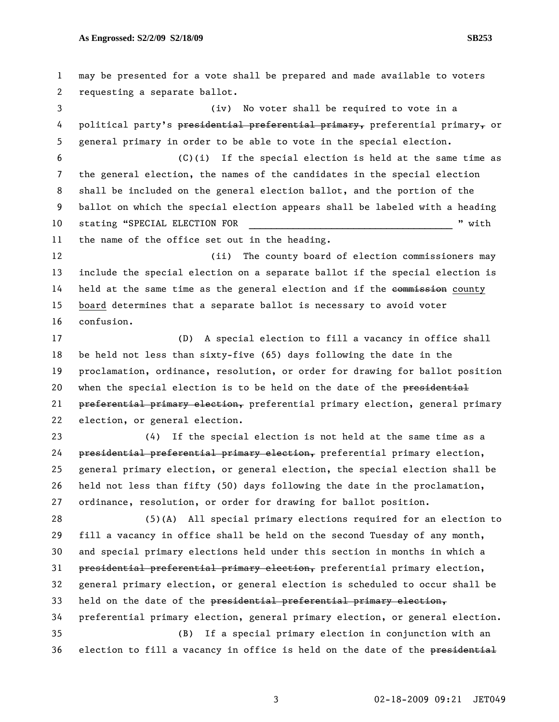1 may be presented for a vote shall be prepared and made available to voters 2 requesting a separate ballot. 3 (iv) No voter shall be required to vote in a 4 political party's presidential preferential primary, preferential primary, or 5 general primary in order to be able to vote in the special election. 6 (C)(i) If the special election is held at the same time as 7 the general election, the names of the candidates in the special election 8 shall be included on the general election ballot, and the portion of the 9 ballot on which the special election appears shall be labeled with a heading 10 stating "SPECIAL ELECTION FOR THE REGISTER RESOLUTION FOR THE REGISTER STATISTICS AND REGISTER AND REGISTER 11 the name of the office set out in the heading. 12 (ii) The county board of election commissioners may 13 include the special election on a separate ballot if the special election is 14 held at the same time as the general election and if the commission county 15 board determines that a separate ballot is necessary to avoid voter 16 confusion. 17 (D) A special election to fill a vacancy in office shall 18 be held not less than sixty-five (65) days following the date in the 19 proclamation, ordinance, resolution, or order for drawing for ballot position 20 when the special election is to be held on the date of the presidential 21 preferential primary election, preferential primary election, general primary 22 election, or general election. 23 (4) If the special election is not held at the same time as a 24 presidential preferential primary election, preferential primary election, 25 general primary election, or general election, the special election shall be 26 held not less than fifty (50) days following the date in the proclamation, 27 ordinance, resolution, or order for drawing for ballot position. 28 (5)(A) All special primary elections required for an election to 29 fill a vacancy in office shall be held on the second Tuesday of any month, 30 and special primary elections held under this section in months in which a 31 presidential preferential primary election, preferential primary election, 32 general primary election, or general election is scheduled to occur shall be 33 held on the date of the presidential preferential primary election, 34 preferential primary election, general primary election, or general election. 35 (B) If a special primary election in conjunction with an 36 election to fill a vacancy in office is held on the date of the presidential

3 02-18-2009 09:21 JET049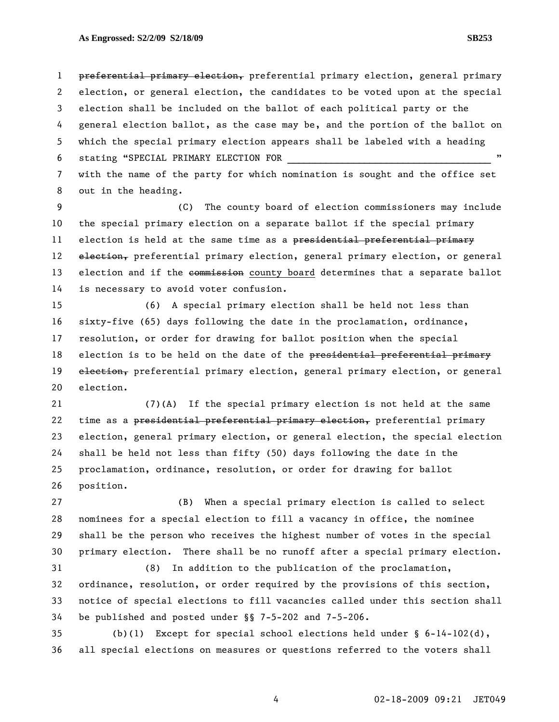1 preferential primary election, preferential primary election, general primary 2 election, or general election, the candidates to be voted upon at the special 3 election shall be included on the ballot of each political party or the 4 general election ballot, as the case may be, and the portion of the ballot on 5 which the special primary election appears shall be labeled with a heading 6 stating "SPECIAL PRIMARY ELECTION FOR 7 with the name of the party for which nomination is sought and the office set

8 out in the heading.

9 (C) The county board of election commissioners may include 10 the special primary election on a separate ballot if the special primary 11 election is held at the same time as a presidential preferential primary 12 election, preferential primary election, general primary election, or general 13 election and if the commission county board determines that a separate ballot 14 is necessary to avoid voter confusion.

15 (6) A special primary election shall be held not less than 16 sixty-five (65) days following the date in the proclamation, ordinance, 17 resolution, or order for drawing for ballot position when the special 18 election is to be held on the date of the presidential preferential primary 19 election, preferential primary election, general primary election, or general 20 election.

21 (7)(A) If the special primary election is not held at the same 22 time as a presidential preferential primary election, preferential primary 23 election, general primary election, or general election, the special election 24 shall be held not less than fifty (50) days following the date in the 25 proclamation, ordinance, resolution, or order for drawing for ballot 26 position.

27 (B) When a special primary election is called to select 28 nominees for a special election to fill a vacancy in office, the nominee 29 shall be the person who receives the highest number of votes in the special 30 primary election. There shall be no runoff after a special primary election.

31 (8) In addition to the publication of the proclamation, 32 ordinance, resolution, or order required by the provisions of this section, 33 notice of special elections to fill vacancies called under this section shall 34 be published and posted under §§ 7-5-202 and 7-5-206.

35 (b)(1) Except for special school elections held under § 6-14-102(d), 36 all special elections on measures or questions referred to the voters shall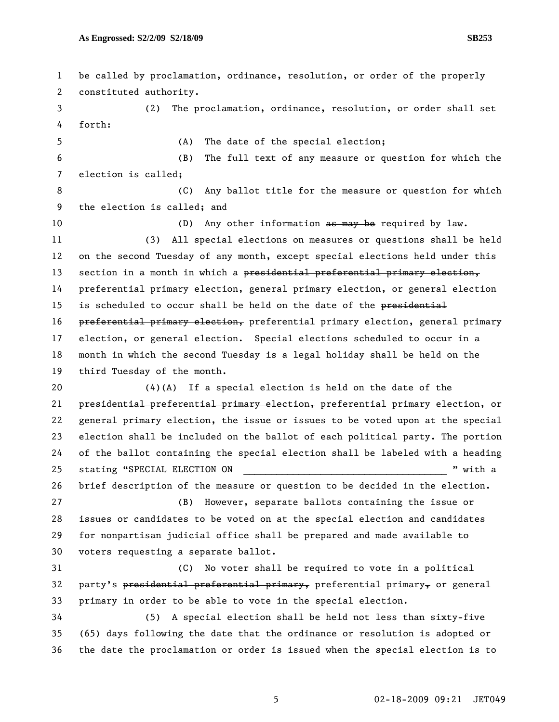1 be called by proclamation, ordinance, resolution, or order of the properly 2 constituted authority. 3 (2) The proclamation, ordinance, resolution, or order shall set 4 forth: 5 (A) The date of the special election; 6 (B) The full text of any measure or question for which the 7 election is called; 8 6 (C) Any ballot title for the measure or question for which 9 the election is called; and 10 (D) Any other information as may be required by law. 11 (3) All special elections on measures or questions shall be held 12 on the second Tuesday of any month, except special elections held under this 13 section in a month in which a presidential preferential primary election, 14 preferential primary election, general primary election, or general election 15 is scheduled to occur shall be held on the date of the presidential 16 preferential primary election, preferential primary election, general primary 17 election, or general election. Special elections scheduled to occur in a 18 month in which the second Tuesday is a legal holiday shall be held on the 19 third Tuesday of the month. 20  $(4)(A)$  If a special election is held on the date of the 21 presidential preferential primary election, preferential primary election, or 22 general primary election, the issue or issues to be voted upon at the special 23 election shall be included on the ballot of each political party. The portion 24 of the ballot containing the special election shall be labeled with a heading 25 stating "SPECIAL ELECTION ON  $\blacksquare$  " with a 26 brief description of the measure or question to be decided in the election. 27 (B) However, separate ballots containing the issue or 28 issues or candidates to be voted on at the special election and candidates 29 for nonpartisan judicial office shall be prepared and made available to 30 voters requesting a separate ballot. 31 (C) No voter shall be required to vote in a political 32 party's presidential preferential primary, preferential primary, or general 33 primary in order to be able to vote in the special election. 34 (5) A special election shall be held not less than sixty-five 35 (65) days following the date that the ordinance or resolution is adopted or 36 the date the proclamation or order is issued when the special election is to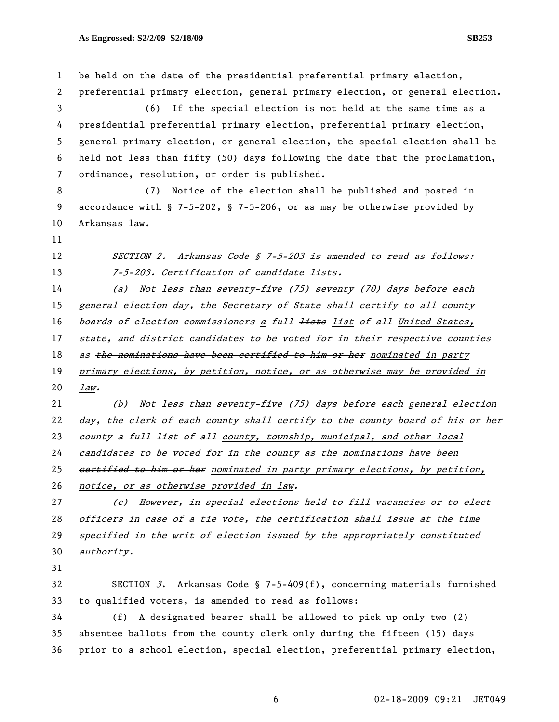1 be held on the date of the presidential preferential primary election, 2 preferential primary election, general primary election, or general election. 3 (6) If the special election is not held at the same time as a 4 presidential preferential primary election, preferential primary election, 5 general primary election, or general election, the special election shall be 6 held not less than fifty (50) days following the date that the proclamation, 7 ordinance, resolution, or order is published. 8 (7) Notice of the election shall be published and posted in 9 accordance with § 7-5-202, § 7-5-206, or as may be otherwise provided by 10 Arkansas law. 11 12 SECTION 2. Arkansas Code § 7-5-203 is amended to read as follows: 13 7-5-203. Certification of candidate lists. 14 (a) Not less than seventy five (75) seventy (70) days before each 15 general election day, the Secretary of State shall certify to all county 16 boards of election commissioners a full lists list of all United States, 17 state, and district candidates to be voted for in their respective counties 18 as the nominations have been certified to him or her nominated in party 19 primary elections, by petition, notice, or as otherwise may be provided in 20 law. 21 (b) Not less than seventy-five (75) days before each general election 22 day, the clerk of each county shall certify to the county board of his or her 23 county a full list of all county, township, municipal, and other local 24 candidates to be voted for in the county as the nominations have been 25 eertified to him or her nominated in party primary elections, by petition, 26 notice, or as otherwise provided in law. 27 (c) However, in special elections held to fill vacancies or to elect 28 officers in case of a tie vote, the certification shall issue at the time 29 specified in the writ of election issued by the appropriately constituted 30 authority. 31 32 SECTION 3. Arkansas Code § 7-5-409(f), concerning materials furnished 33 to qualified voters, is amended to read as follows: 34 (f) A designated bearer shall be allowed to pick up only two (2) 35 absentee ballots from the county clerk only during the fifteen (15) days 36 prior to a school election, special election, preferential primary election,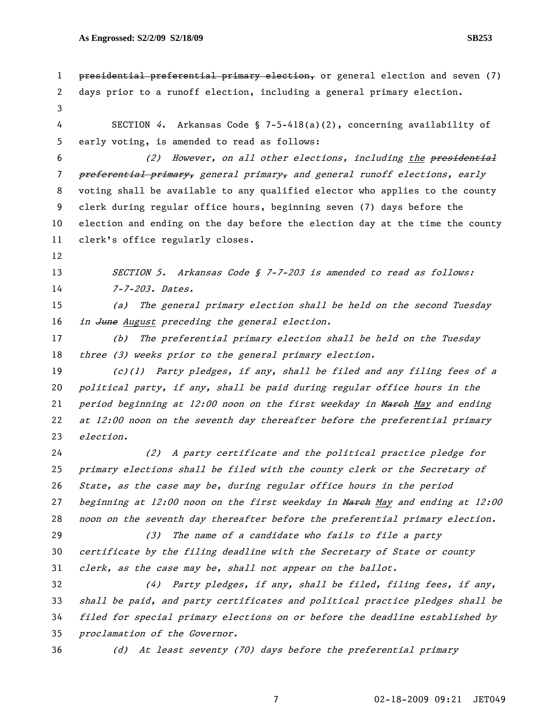1 presidential preferential primary election, or general election and seven (7) 2 days prior to a runoff election, including a general primary election. 3 4 SECTION 4. Arkansas Code § 7-5-418(a)(2), concerning availability of 5 early voting, is amended to read as follows: 6 (2) However, on all other elections, including the presidential 7 <del>preferential primary,</del> general primary, and general runoff elections, early 8 voting shall be available to any qualified elector who applies to the county 9 clerk during regular office hours, beginning seven (7) days before the 10 election and ending on the day before the election day at the time the county 11 clerk's office regularly closes. 12 13 SECTION 5. Arkansas Code § 7-7-203 is amended to read as follows: 14 7-7-203. Dates. 15 (a) The general primary election shall be held on the second Tuesday 16 in June August preceding the general election. 17 (b) The preferential primary election shall be held on the Tuesday 18 three (3) weeks prior to the general primary election. 19 (c)(1) Party pledges, if any, shall be filed and any filing fees of a 20 political party, if any, shall be paid during regular office hours in the 21 period beginning at  $12:00$  noon on the first weekday in March May and ending 22 at 12:00 noon on the seventh day thereafter before the preferential primary 23 election. 24 (2) A party certificate and the political practice pledge for 25 primary elections shall be filed with the county clerk or the Secretary of 26 State, as the case may be, during regular office hours in the period 27 beginning at  $12:00$  noon on the first weekday in March May and ending at  $12:00$ 28 noon on the seventh day thereafter before the preferential primary election. 29 (3) The name of a candidate who fails to file a party 30 certificate by the filing deadline with the Secretary of State or county 31 clerk, as the case may be, shall not appear on the ballot. 32 (4) Party pledges, if any, shall be filed, filing fees, if any, 33 shall be paid, and party certificates and political practice pledges shall be 34 filed for special primary elections on or before the deadline established by 35 proclamation of the Governor. 36 (d) At least seventy (70) days before the preferential primary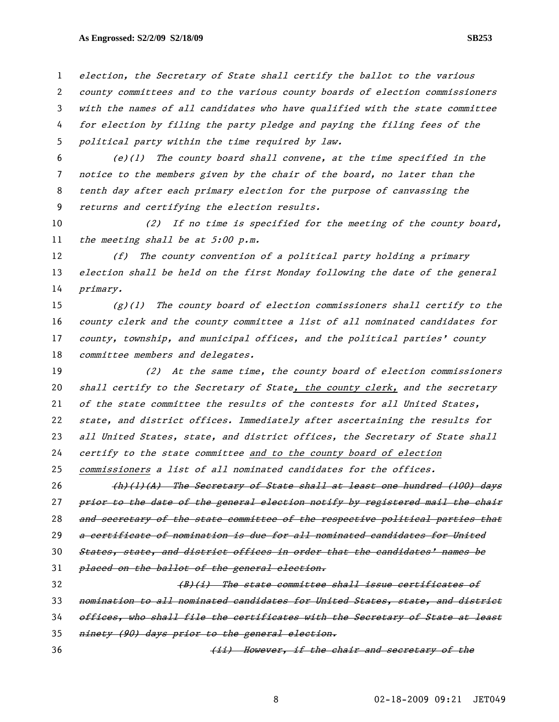## As Engrossed: S2/2/09 S2/18/09 SB253 **SB253**

election, the Secretary of State shall certify the ballot to the various county committees and to the various county boards of election commissioners with the names of all candidates who have qualified with the state committee for election by filing the party pledge and paying the filing fees of the political party within the time required by law.

 $(e)(1)$  The county board shall convene, at the time specified in the notice to the members given by the chair of the board, no later than the tenth day after each primary election for the purpose of canvassing the returns and certifying the election results.

10 (2) If no time is specified for the meeting of the county board, 11 the meeting shall be at 5:00 p.m.

12 (f) The county convention of a political party holding a primary 13 election shall be held on the first Monday following the date of the general 14 primary.

 $(g)(1)$  The county board of election commissioners shall certify to the county clerk and the county committee a list of all nominated candidates for county, township, and municipal offices, and the political parties' county 18 committee members and delegates.

(2) At the same time, the county board of election commissioners 20 shall certify to the Secretary of State, the county clerk, and the secretary of the state committee the results of the contests for all United States, state, and district offices. Immediately after ascertaining the results for 23 all United States, state, and district offices, the Secretary of State shall certify to the state committee and to the county board of election commissioners a list of all nominated candidates for the offices.

26 (h)(1)(A) The Secretary of State shall at least one hundred (100) days 27 prior to the date of the general election notify by registered mail the chair 28 and secretary of the state committee of the respective political parties that 29 a certificate of nomination is due for all nominated candidates for United 30 States, state, and district offices in order that the candidates' names be 31 *placed on the ballot of the general election.* 32 (B)(i) The state committee shall issue certificates of 33 nomination to all nominated candidates for United States, state, and district

34 offices, who shall file the certificates with the Secretary of State at least

35 ninety (90) days prior to the general election.

36 (ii) However, if the chair and secretary of the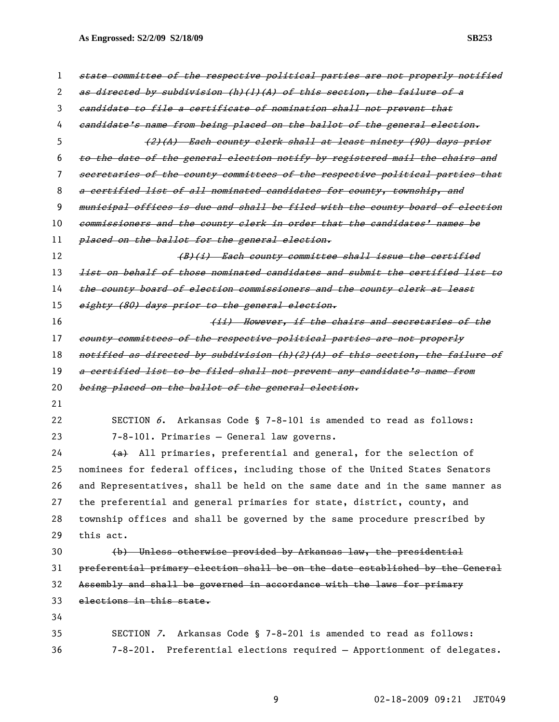**As Engrossed: S2/2/09 S2/18/09 SB253** 

| 1        | state committee of the respective political parties are not properly notified            |  |
|----------|------------------------------------------------------------------------------------------|--|
| 2        | as directed by subdivision (h)(l)(A) of this section, the failure of a                   |  |
| 3        | eandidate to file a certificate of nomination shall not prevent that                     |  |
| 4        | eandidate's name from being placed on the ballot of the general election.                |  |
| 5        | (2)(A) Each county clerk shall at least ninety (90) days prior                           |  |
| 6        | to the date of the general election notify by registered mail the chairs and             |  |
| 7        | secretaries of the county committees of the respective political parties that            |  |
| 8        | a certified list of all nominated candidates for county, township, and                   |  |
| 9        | municipal offices is due and shall be filed with the county board of election            |  |
| 10       | commissioners and the county clerk in order that the candidates' names be                |  |
| 11       | placed on the ballot for the general election.                                           |  |
| 12       | (B)(i) Each county committee shall issue the certified                                   |  |
| 13       | <del>list on behalf of those nominated candidates and submit the certified list to</del> |  |
| 14       | the county board of election commissioners and the county clerk at least                 |  |
| 15       | eighty (80) days prior to the general election.                                          |  |
| 16       | (ii) However, if the chairs and secretaries of the                                       |  |
| 17       | county committees of the respective political parties are not properly                   |  |
| 18       | notified as directed by subdivision (h)(2)(A) of this section, the failure of            |  |
| 19       | a certified list to be filed shall not prevent any candidate's name from                 |  |
|          |                                                                                          |  |
| 20       | being placed on the ballot of the general election.                                      |  |
| 21       |                                                                                          |  |
| 22       | SECTION 6. Arkansas Code § 7-8-101 is amended to read as follows:                        |  |
| 23       | 7-8-101. Primaries - General law governs.                                                |  |
| 24       | (a) All primaries, preferential and general, for the selection of                        |  |
| 25       | nominees for federal offices, including those of the United States Senators              |  |
| 26       | and Representatives, shall be held on the same date and in the same manner as            |  |
| 27       | the preferential and general primaries for state, district, county, and                  |  |
| 28       | township offices and shall be governed by the same procedure prescribed by               |  |
|          | this act.                                                                                |  |
| 30       | (b) Unless otherwise provided by Arkansas law, the presidential                          |  |
| 29<br>31 | preferential primary election shall be on the date established by the General            |  |
| 32       | Assembly and shall be governed in accordance with the laws for primary                   |  |
| 33       | elections in this state.                                                                 |  |
| 34       |                                                                                          |  |
| 35       | SECTION 7. Arkansas Code § 7-8-201 is amended to read as follows:                        |  |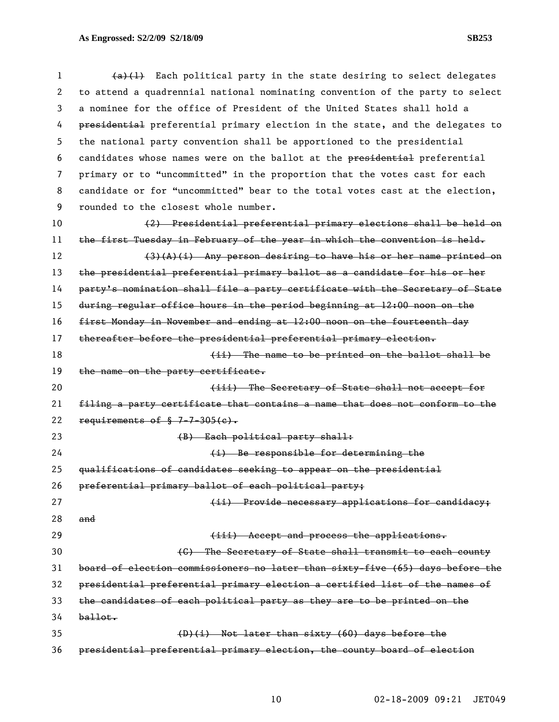1 (a)(1) Each political party in the state desiring to select delegates 2 to attend a quadrennial national nominating convention of the party to select 3 a nominee for the office of President of the United States shall hold a 4 presidential preferential primary election in the state, and the delegates to 5 the national party convention shall be apportioned to the presidential 6 candidates whose names were on the ballot at the presidential preferential 7 primary or to "uncommitted" in the proportion that the votes cast for each 8 candidate or for "uncommitted" bear to the total votes cast at the election, 9 rounded to the closest whole number. 10 (2) Presidential preferential primary elections shall be held on 11 the first Tuesday in February of the year in which the convention is held. 12 (3)(A)(i) Any person desiring to have his or her name printed on 13 the presidential preferential primary ballot as a candidate for his or her 14 party's nomination shall file a party certificate with the Secretary of State 15 during regular office hours in the period beginning at 12:00 noon on the 16 first Monday in November and ending at 12:00 noon on the fourteenth day 17 thereafter before the presidential preferential primary election. 18 18 18 (ii) The name to be printed on the ballot shall be 19 the name on the party certificate. 20 **(iii)** The Secretary of State shall not accept for 21 filing a party certificate that contains a name that does not conform to the 22 requirements of  $\frac{1}{2}$  7-7-305(c). 23 (B) Each political party shall: 24 (i) Be responsible for determining the 25 qualifications of candidates seeking to appear on the presidential 26 preferential primary ballot of each political party; 27 **Example 27 (ii)** Provide necessary applications for candidacy; 28 and 29 **Example 29 (iii)** Accept and process the applications. 30 (C) The Secretary of State shall transmit to each county 31 board of election commissioners no later than sixty-five (65) days before the 32 presidential preferential primary election a certified list of the names of 33 the candidates of each political party as they are to be printed on the  $34$   $ballot.$ 35 (D)(i) Not later than sixty (60) days before the 36 presidential preferential primary election, the county board of election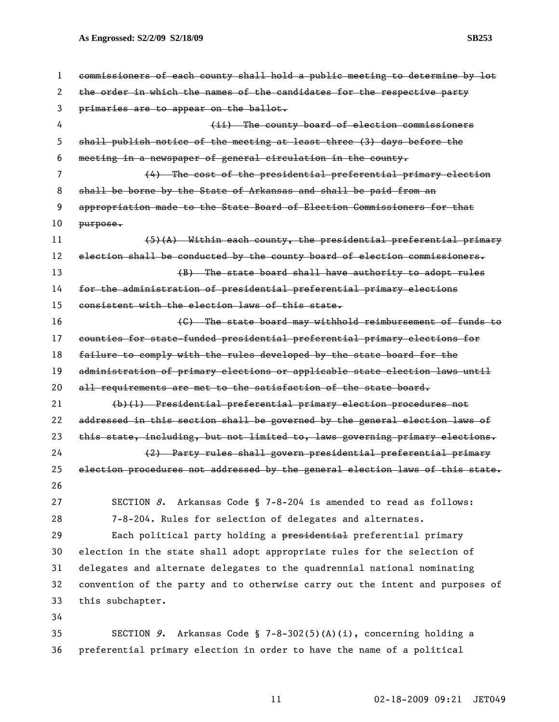**As Engrossed: S2/2/09 S2/18/09 SB253** 

| 1  | commissioners of each county shall hold a public meeting to determine by lot  |  |
|----|-------------------------------------------------------------------------------|--|
| 2  | the order in which the names of the candidates for the respective party       |  |
| 3  | primaries are to appear on the ballot.                                        |  |
| 4  | (ii) The county board of election commissioners                               |  |
| 5  | shall publish notice of the meeting at least three (3) days before the        |  |
| 6  | meeting in a newspaper of general circulation in the county.                  |  |
| 7  | (4) The cost of the presidential preferential primary election                |  |
| 8  | shall be borne by the State of Arkansas and shall be paid from an             |  |
| 9  | appropriation made to the State Board of Election Commissioners for that      |  |
| 10 | $purepose$                                                                    |  |
| 11 | $(5)$ (A) Within each county, the presidential preferential primary           |  |
| 12 | election shall be conducted by the county board of election commissioners.    |  |
| 13 | (B) The state board shall have authority to adopt rules                       |  |
| 14 | for the administration of presidential preferential primary elections         |  |
| 15 | consistent with the election laws of this state.                              |  |
| 16 | (C) The state board may withhold reimbursement of funds to                    |  |
| 17 | counties for state-funded presidential preferential primary elections for     |  |
| 18 | failure to comply with the rules developed by the state board for the         |  |
| 19 | administration of primary elections or applicable state election laws until   |  |
| 20 | all requirements are met to the satisfaction of the state board.              |  |
| 21 | (b)(1) Presidential preferential primary election procedures not              |  |
| 22 | addressed in this section shall be governed by the general election laws of   |  |
| 23 | this state, including, but not limited to, laws governing primary elections.  |  |
| 24 | (2) Party rules shall govern presidential preferential primary                |  |
| 25 | election procedures not addressed by the general election laws of this state. |  |
| 26 |                                                                               |  |
| 27 | SECTION $8$ . Arkansas Code § 7-8-204 is amended to read as follows:          |  |
| 28 | 7-8-204. Rules for selection of delegates and alternates.                     |  |
| 29 | Each political party holding a presidential preferential primary              |  |
| 30 | election in the state shall adopt appropriate rules for the selection of      |  |
| 31 | delegates and alternate delegates to the quadrennial national nominating      |  |
| 32 | convention of the party and to otherwise carry out the intent and purposes of |  |
| 33 | this subchapter.                                                              |  |
| 34 |                                                                               |  |
| 35 | SECTION 9. Arkansas Code § 7-8-302(5)(A)(i), concerning holding a             |  |
| 36 | preferential primary election in order to have the name of a political        |  |